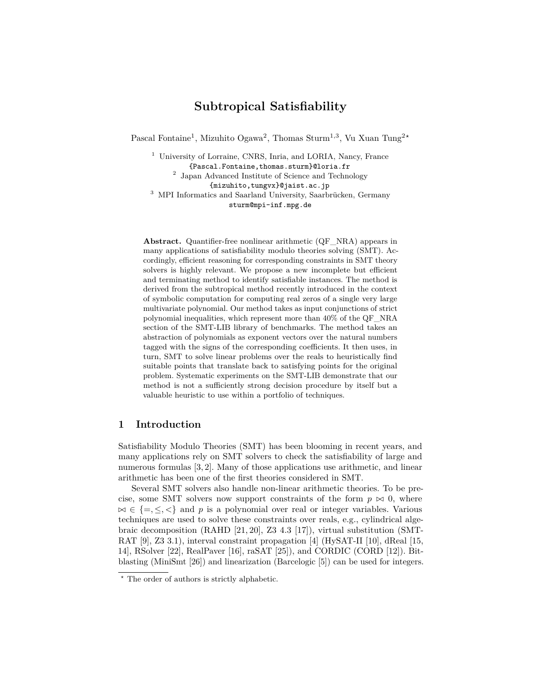# **Subtropical Satisfiability**

Pascal Fontaine<sup>1</sup>, Mizuhito Ogawa<sup>2</sup>, Thomas Sturm<sup>1,3</sup>, Vu Xuan Tung<sup>2\*</sup>

<sup>1</sup> University of Lorraine, CNRS, Inria, and LORIA, Nancy, France {Pascal.Fontaine,thomas.sturm}@loria.fr 2 Japan Advanced Institute of Science and Technology {mizuhito,tungvx}@jaist.ac.jp <sup>3</sup> MPI Informatics and Saarland University, Saarbrücken, Germany sturm@mpi-inf.mpg.de

**Abstract.** Quantifier-free nonlinear arithmetic (QF\_NRA) appears in many applications of satisfiability modulo theories solving (SMT). Accordingly, efficient reasoning for corresponding constraints in SMT theory solvers is highly relevant. We propose a new incomplete but efficient and terminating method to identify satisfiable instances. The method is derived from the subtropical method recently introduced in the context of symbolic computation for computing real zeros of a single very large multivariate polynomial. Our method takes as input conjunctions of strict polynomial inequalities, which represent more than 40% of the QF\_NRA section of the SMT-LIB library of benchmarks. The method takes an abstraction of polynomials as exponent vectors over the natural numbers tagged with the signs of the corresponding coefficients. It then uses, in turn, SMT to solve linear problems over the reals to heuristically find suitable points that translate back to satisfying points for the original problem. Systematic experiments on the SMT-LIB demonstrate that our method is not a sufficiently strong decision procedure by itself but a valuable heuristic to use within a portfolio of techniques.

## **1 Introduction**

Satisfiability Modulo Theories (SMT) has been blooming in recent years, and many applications rely on SMT solvers to check the satisfiability of large and numerous formulas [3, 2]. Many of those applications use arithmetic, and linear arithmetic has been one of the first theories considered in SMT.

Several SMT solvers also handle non-linear arithmetic theories. To be precise, some SMT solvers now support constraints of the form  $p \bowtie 0$ , where  $\bowtie \in \{=,<\}$  and *p* is a polynomial over real or integer variables. Various techniques are used to solve these constraints over reals, e.g., cylindrical algebraic decomposition (RAHD [21, 20], Z3 4.3 [17]), virtual substitution (SMT-RAT [9], Z3 3.1), interval constraint propagation [4] (HySAT-II [10], dReal [15, 14], RSolver [22], RealPaver [16], raSAT [25]), and CORDIC (CORD [12]). Bitblasting (MiniSmt [26]) and linearization (Barcelogic [5]) can be used for integers.

*<sup>?</sup>* The order of authors is strictly alphabetic.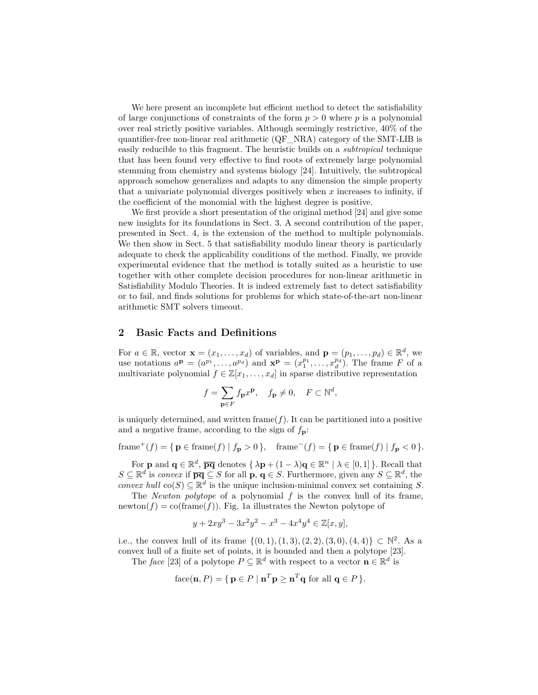We here present an incomplete but efficient method to detect the satisfiability of large conjunctions of constraints of the form *p >* 0 where *p* is a polynomial over real strictly positive variables. Although seemingly restrictive, 40% of the quantifier-free non-linear real arithmetic (QF\_NRA) category of the SMT-LIB is easily reducible to this fragment. The heuristic builds on a *subtropical* technique that has been found very effective to find roots of extremely large polynomial stemming from chemistry and systems biology [24]. Intuitively, the subtropical approach somehow generalizes and adapts to any dimension the simple property that a univariate polynomial diverges positively when *x* increases to infinity, if the coefficient of the monomial with the highest degree is positive.

We first provide a short presentation of the original method [24] and give some new insights for its foundations in Sect. 3. A second contribution of the paper, presented in Sect. 4, is the extension of the method to multiple polynomials. We then show in Sect. 5 that satisfiability modulo linear theory is particularly adequate to check the applicability conditions of the method. Finally, we provide experimental evidence that the method is totally suited as a heuristic to use together with other complete decision procedures for non-linear arithmetic in Satisfiability Modulo Theories. It is indeed extremely fast to detect satisfiability or to fail, and finds solutions for problems for which state-of-the-art non-linear arithmetic SMT solvers timeout.

## **2 Basic Facts and Definitions**

For  $a \in \mathbb{R}$ , vector  $\mathbf{x} = (x_1, \dots, x_d)$  of variables, and  $\mathbf{p} = (p_1, \dots, p_d) \in \mathbb{R}^d$ , we use notations  $a^{\mathbf{p}} = (a^{p_1}, \ldots, a^{p_d})$  and  $\mathbf{x}^{\mathbf{p}} = (x_1^{p_1}, \ldots, x_d^{p_d})$ . The frame *F* of a multivariate polynomial  $f \in \mathbb{Z}[x_1, \ldots, x_d]$  in sparse distributive representation

$$
f = \sum_{\mathbf{p} \in F} f_{\mathbf{p}} x^{\mathbf{p}}, \quad f_{\mathbf{p}} \neq 0, \quad F \subset \mathbb{N}^d,
$$

is uniquely determined, and written frame $(f)$ . It can be partitioned into a positive and a negative frame, according to the sign of  $f_{\bf p}$ :

 $\text{frame}^+(f) = \{ \mathbf{p} \in \text{frame}(f) \mid f_{\mathbf{p}} > 0 \}, \quad \text{frame}^-(f) = \{ \mathbf{p} \in \text{frame}(f) \mid f_{\mathbf{p}} < 0 \}.$ 

For **p** and  $\mathbf{q} \in \mathbb{R}^d$ ,  $\overline{pq}$  denotes  $\{\lambda \mathbf{p} + (1 - \lambda)\mathbf{q} \in \mathbb{R}^n \mid \lambda \in [0, 1]\}.$  Recall that *S* ⊆  $\mathbb{R}^d$  is *convex* if  $\overline{pq}$  ⊆ *S* for all  $\overline{p}$ ,  $\overline{q}$  ∈ *S*. Furthermore, given any *S* ⊆  $\mathbb{R}^d$ , the *convex hull*  $\text{co}(S) \subseteq \mathbb{R}^d$  is the unique inclusion-minimal convex set containing *S*.

The *Newton polytope* of a polynomial *f* is the convex hull of its frame, newton $(f) = \text{co}(\text{frame}(f))$ . Fig. 1a illustrates the Newton polytope of

$$
y + 2xy^{3} - 3x^{2}y^{2} - x^{3} - 4x^{4}y^{4} \in \mathbb{Z}[x, y],
$$

i.e., the convex hull of its frame  $\{(0,1), (1,3), (2,2), (3,0), (4,4)\} \subset \mathbb{N}^2$ . As a convex hull of a finite set of points, it is bounded and then a polytope [23].

The *face* [23] of a polytope  $P \subseteq \mathbb{R}^d$  with respect to a vector  $\mathbf{n} \in \mathbb{R}^d$  is

face(
$$
\mathbf{n}, P
$$
) = { $\mathbf{p} \in P | \mathbf{n}^T \mathbf{p} \geq \mathbf{n}^T \mathbf{q}$  for all  $\mathbf{q} \in P$  }.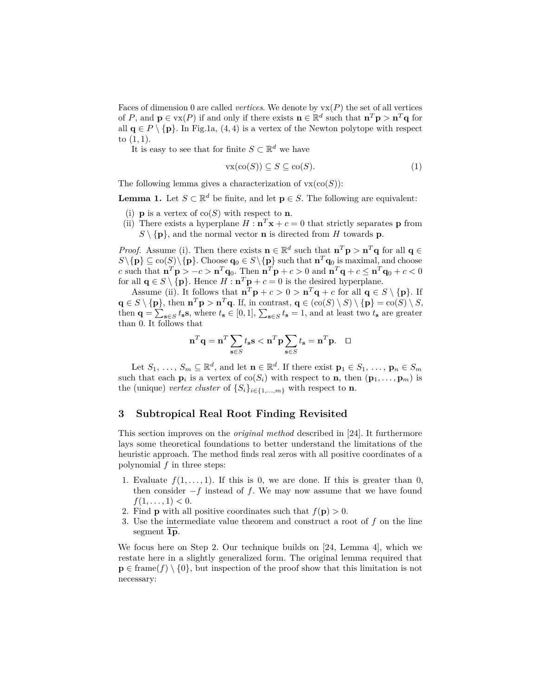Faces of dimension 0 are called *vertices*. We denote by  $vx(P)$  the set of all vertices of *P*, and  $\mathbf{p} \in \text{vx}(P)$  if and only if there exists  $\mathbf{n} \in \mathbb{R}^d$  such that  $\mathbf{n}^T \mathbf{p} > \mathbf{n}^T \mathbf{q}$  for all  $\mathbf{q} \in P \setminus \{\mathbf{p}\}\$ . In Fig.1a, (4, 4) is a vertex of the Newton polytope with respect to (1*,* 1).

It is easy to see that for finite  $S \subset \mathbb{R}^d$  we have

$$
\text{vx}(\text{co}(S)) \subseteq S \subseteq \text{co}(S). \tag{1}
$$

The following lemma gives a characterization of  $vx(co(S))$ :

**Lemma 1.** Let  $S \subset \mathbb{R}^d$  be finite, and let  $p \in S$ . The following are equivalent:

- (i) **p** is a vertex of  $co(S)$  with respect to **n**.
- (ii) There exists a hyperplane  $H : \mathbf{n}^T \mathbf{x} + c = 0$  that strictly separates **p** from  $S \setminus \{p\}$ , and the normal vector **n** is directed from *H* towards **p**.

*Proof.* Assume (i). Then there exists  $\mathbf{n} \in \mathbb{R}^d$  such that  $\mathbf{n}^T \mathbf{p} > \mathbf{n}^T \mathbf{q}$  for all  $\mathbf{q} \in \mathbb{R}^d$  $S \setminus \{p\} \subseteq \text{co}(S) \setminus \{p\}.$  Choose  $q_0 \in S \setminus \{p\}$  such that  $n^T q_0$  is maximal, and choose c such that  $\mathbf{n}^T\mathbf{p} > -c > \mathbf{n}^T\mathbf{q}_0$ . Then  $\mathbf{n}^T\mathbf{p} + c > 0$  and  $\mathbf{n}^T\mathbf{q} + c \leq \mathbf{n}^T\mathbf{q}_0 + c < 0$ for all  $\mathbf{q} \in S \setminus \{\mathbf{p}\}.$  Hence  $H : \mathbf{n}^T \mathbf{p} + c = 0$  is the desired hyperplane.

Assume (ii). It follows that  $\mathbf{n}^T \mathbf{p} + c > 0 > \mathbf{n}^T \mathbf{q} + c$  for all  $\mathbf{q} \in S \setminus \{\mathbf{p}\}\)$ . If  $\mathbf{q} \in S \setminus \{\mathbf{p}\}\text{, then } \mathbf{n}^T\mathbf{p} > \mathbf{n}^T\mathbf{q}$ . If, in contrast,  $\mathbf{q} \in (\text{co}(S) \setminus S) \setminus \{\mathbf{p}\} = \text{co}(S) \setminus S$ , then  $\mathbf{q} = \sum_{\mathbf{s} \in S} t_{\mathbf{s}} \mathbf{s}$ , where  $t_{\mathbf{s}} \in [0,1], \sum_{\mathbf{s} \in S} t_{\mathbf{s}} = 1$ , and at least two  $t_{\mathbf{s}}$  are greater than 0. It follows that

$$
\mathbf{n}^T \mathbf{q} = \mathbf{n}^T \sum_{\mathbf{s} \in S} t_{\mathbf{s}} \mathbf{s} < \mathbf{n}^T \mathbf{p} \sum_{\mathbf{s} \in S} t_{\mathbf{s}} = \mathbf{n}^T \mathbf{p}. \quad \Box
$$

Let  $S_1, \ldots, S_m \subseteq \mathbb{R}^d$ , and let  $\mathbf{n} \in \mathbb{R}^d$ . If there exist  $\mathbf{p}_1 \in S_1, \ldots, \mathbf{p}_n \in S_m$ such that each  $\mathbf{p}_i$  is a vertex of  $\text{co}(S_i)$  with respect to **n**, then  $(\mathbf{p}_1, \ldots, \mathbf{p}_m)$  is the (unique) *vertex cluster* of  $\{S_i\}_{i\in\{1,\ldots,m\}}$  with respect to **n**.

## **3 Subtropical Real Root Finding Revisited**

This section improves on the *original method* described in [24]. It furthermore lays some theoretical foundations to better understand the limitations of the heuristic approach. The method finds real zeros with all positive coordinates of a polynomial *f* in three steps:

- 1. Evaluate  $f(1, \ldots, 1)$ . If this is 0, we are done. If this is greater than 0, then consider −*f* instead of *f*. We may now assume that we have found  $f(1, \ldots, 1) < 0.$
- 2. Find **p** with all positive coordinates such that  $f(\mathbf{p}) > 0$ .
- 3. Use the intermediate value theorem and construct a root of *f* on the line segment **1p**.

We focus here on Step 2. Our technique builds on [24, Lemma 4], which we restate here in a slightly generalized form. The original lemma required that  $\mathbf{p} \in \text{frame}(f) \setminus \{0\}$ , but inspection of the proof show that this limitation is not necessary: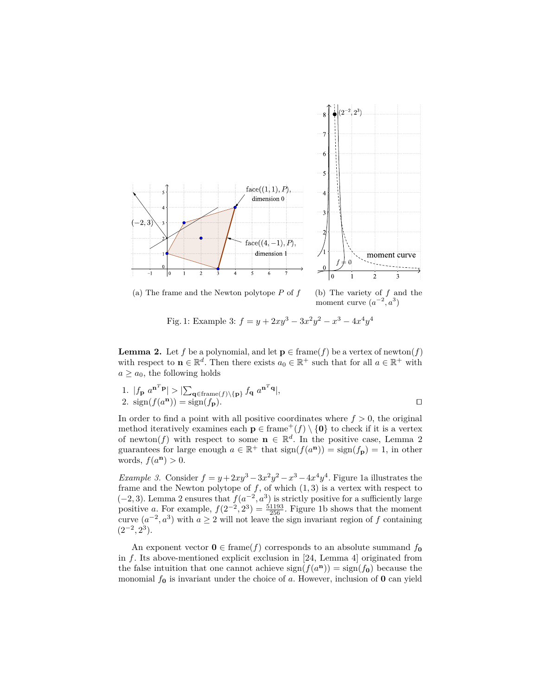

(a) The frame and the Newton polytope  $P$  of  $f$  (b) The variety of  $f$  and the

moment curve  $(a^{-2}, a^3)$ 

Fig. 1: Example 3:  $f = y + 2xy^3 - 3x^2y^2 - x^3 - 4x^4y^4$ 

**Lemma 2.** Let *f* be a polynomial, and let  $p \in \text{frame}(f)$  be a vertex of newton(*f*) with respect to  $\mathbf{n} \in \mathbb{R}^d$ . Then there exists  $a_0 \in \mathbb{R}^+$  such that for all  $a \in \mathbb{R}^+$  with  $a \geq a_0$ , the following holds

1. 
$$
|f_{\mathbf{p}} a^{\mathbf{n}^T \mathbf{p}}| > |\sum_{\mathbf{q} \in \text{frame}(f) \setminus {\{\mathbf{p}\}} } f_{\mathbf{q}} a^{\mathbf{n}^T \mathbf{q}}|
$$
,  
2.  $\text{sign}(f(a^{\mathbf{n}})) = \text{sign}(f_{\mathbf{p}}).$ 

In order to find a point with all positive coordinates where  $f > 0$ , the original method iteratively examines each  $\mathbf{p} \in \text{frame}^+(f) \setminus \{\mathbf{0}\}\$  to check if it is a vertex of newton(f) with respect to some  $\mathbf{n} \in \mathbb{R}^d$ . In the positive case, Lemma 2 guarantees for large enough  $a \in \mathbb{R}^+$  that  $sign(f(a^n)) = sign(f_p) = 1$ , in other words,  $f(a^n) > 0$ .

*Example 3.* Consider  $f = y + 2xy^3 - 3x^2y^2 - x^3 - 4x^4y^4$ . Figure 1a illustrates the frame and the Newton polytope of  $f$ , of which  $(1, 3)$  is a vertex with respect to  $(-2, 3)$ . Lemma 2 ensures that  $f(a^{-2}, a^3)$  is strictly positive for a sufficiently large positive *a*. For example,  $f(2^{-2}, 2^3) = \frac{51193}{256}$ . Figure 1b shows that the moment curve  $(a^{-2}, a^3)$  with  $a \ge 2$  will not leave the sign invariant region of *f* containing  $(2^{-2}, 2^3)$ .

An exponent vector  $\mathbf{0} \in \text{frame}(f)$  corresponds to an absolute summand  $f_{\mathbf{0}}$ in *f*. Its above-mentioned explicit exclusion in [24, Lemma 4] originated from the false intuition that one cannot achieve  $\text{sign}(f(a^n)) = \text{sign}(f_0)$  because the monomial *f***<sup>0</sup>** is invariant under the choice of *a*. However, inclusion of **0** can yield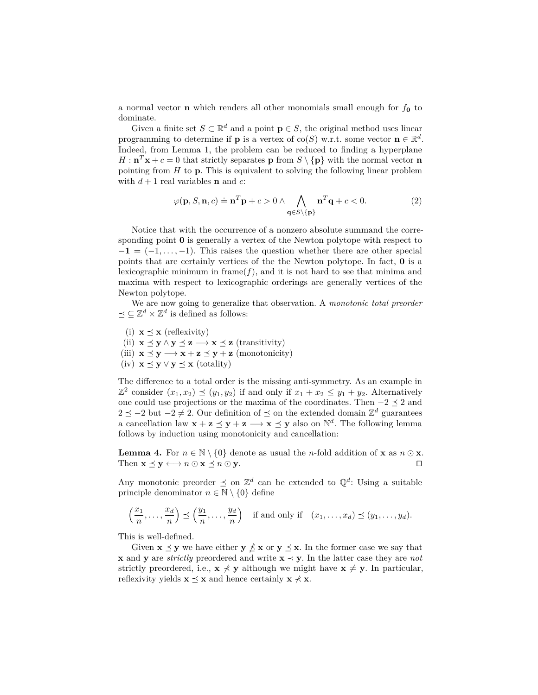a normal vector **n** which renders all other monomials small enough for *f***<sup>0</sup>** to dominate.

Given a finite set  $S \subset \mathbb{R}^d$  and a point  $p \in S$ , the original method uses linear programming to determine if **p** is a vertex of co(*S*) w.r.t. some vector  $\mathbf{n} \in \mathbb{R}^d$ . Indeed, from Lemma 1, the problem can be reduced to finding a hyperplane  $H: \mathbf{n}^T \mathbf{x} + c = 0$  that strictly separates **p** from  $S \setminus \{p\}$  with the normal vector **n** pointing from *H* to **p**. This is equivalent to solving the following linear problem with  $d+1$  real variables **n** and *c*:

$$
\varphi(\mathbf{p}, S, \mathbf{n}, c) \doteq \mathbf{n}^T \mathbf{p} + c > 0 \land \bigwedge_{\mathbf{q} \in S \backslash \{\mathbf{p}\}} \mathbf{n}^T \mathbf{q} + c < 0. \tag{2}
$$

Notice that with the occurrence of a nonzero absolute summand the corresponding point **0** is generally a vertex of the Newton polytope with respect to  $-1 = (-1, \ldots, -1)$ . This raises the question whether there are other special points that are certainly vertices of the the Newton polytope. In fact, **0** is a lexicographic minimum in frame( $f$ ), and it is not hard to see that minima and maxima with respect to lexicographic orderings are generally vertices of the Newton polytope.

We are now going to generalize that observation. A *monotonic total preorder*  $\preceq \subseteq \mathbb{Z}^d \times \mathbb{Z}^d$  is defined as follows:

(i)  $\mathbf{x} \preceq \mathbf{x}$  (reflexivity)

(ii)  $\mathbf{x} \preceq \mathbf{y} \wedge \mathbf{y} \preceq \mathbf{z} \longrightarrow \mathbf{x} \preceq \mathbf{z}$  (transitivity)

- (iii)  $\mathbf{x} \preceq \mathbf{y} \longrightarrow \mathbf{x} + \mathbf{z} \preceq \mathbf{y} + \mathbf{z} \text{ (monotonicity)}$
- (iv)  $\mathbf{x} \preceq \mathbf{y} \vee \mathbf{y} \preceq \mathbf{x}$  (totality)

The difference to a total order is the missing anti-symmetry. As an example in  $\mathbb{Z}^2$  consider  $(x_1, x_2) \preceq (y_1, y_2)$  if and only if  $x_1 + x_2 \le y_1 + y_2$ . Alternatively one could use projections or the maxima of the coordinates. Then  $-2 \leq 2$  and 2  $\le$  −2 but −2  $\neq$  2. Our definition of  $\leq$  on the extended domain  $\mathbb{Z}^d$  guarantees a cancellation law  $\mathbf{x} + \mathbf{z} \preceq \mathbf{y} + \mathbf{z} \longrightarrow \mathbf{x} \preceq \mathbf{y}$  also on  $\mathbb{N}^d$ . The following lemma follows by induction using monotonicity and cancellation:

**Lemma 4.** For  $n \in \mathbb{N} \setminus \{0\}$  denote as usual the *n*-fold addition of **x** as  $n \odot \mathbf{x}$ . Then  $\mathbf{x} \preceq \mathbf{y} \longleftrightarrow n \odot \mathbf{x} \preceq n \odot \mathbf{y}$ .

Any monotonic preorder  $\leq$  on  $\mathbb{Z}^d$  can be extended to  $\mathbb{Q}^d$ : Using a suitable principle denominator  $n \in \mathbb{N} \setminus \{0\}$  define

$$
\left(\frac{x_1}{n},\ldots,\frac{x_d}{n}\right) \preceq \left(\frac{y_1}{n},\ldots,\frac{y_d}{n}\right) \text{ if and only if } (x_1,\ldots,x_d) \preceq (y_1,\ldots,y_d).
$$

This is well-defined.

Given  $\mathbf{x} \preceq \mathbf{y}$  we have either  $\mathbf{y} \npreceq \mathbf{x}$  or  $\mathbf{y} \preceq \mathbf{x}$ . In the former case we say that **x** and **y** are *strictly* preordered and write **x** ≺ **y**. In the latter case they are *not* strictly preordered, i.e.,  $\mathbf{x} \neq \mathbf{y}$  although we might have  $\mathbf{x} \neq \mathbf{y}$ . In particular, reflexivity yields  $\mathbf{x} \preceq \mathbf{x}$  and hence certainly  $\mathbf{x} \neq \mathbf{x}$ .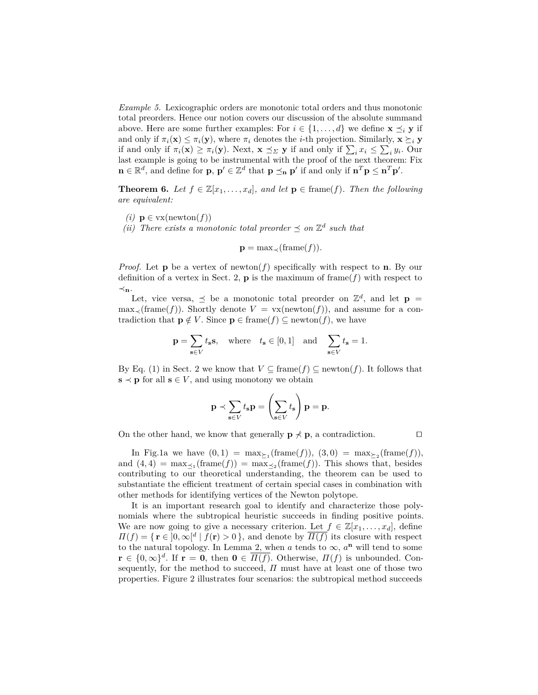*Example 5.* Lexicographic orders are monotonic total orders and thus monotonic total preorders. Hence our notion covers our discussion of the absolute summand above. Here are some further examples: For  $i \in \{1, \ldots, d\}$  we define  $\mathbf{x} \preceq_i \mathbf{y}$  if and only if  $\pi_i(\mathbf{x}) \leq \pi_i(\mathbf{y})$ , where  $\pi_i$  denotes the *i*-th projection. Similarly,  $\mathbf{x} \succeq_i \mathbf{y}$ if and only if  $\pi_i(\mathbf{x}) \ge \pi_i(\mathbf{y})$ . Next,  $\mathbf{x} \preceq_{\Sigma} \mathbf{y}$  if and only if  $\sum_i x_i \le \sum_i y_i$ . Our last example is going to be instrumental with the proof of the next theorem: Fix  $\mathbf{n} \in \mathbb{R}^d$ , and define for **p**,  $\mathbf{p}' \in \mathbb{Z}^d$  that  $\mathbf{p} \preceq_{\mathbf{n}} \mathbf{p}'$  if and only if  $\mathbf{n}^T \mathbf{p} \leq \mathbf{n}^T \mathbf{p}'$ .

**Theorem 6.** Let  $f \in \mathbb{Z}[x_1, \ldots, x_d]$ , and let  $p \in \text{frame}(f)$ . Then the following *are equivalent:*

- *(i)* **p** ∈ vx(newton(*f*))
- *(ii)* There exists a monotonic total preorder  $\leq$  on  $\mathbb{Z}^d$  such that

$$
\mathbf{p} = \max_{\prec}(\text{frame}(f)).
$$

*Proof.* Let **p** be a vertex of newton( $f$ ) specifically with respect to **n**. By our definition of a vertex in Sect. 2,  $\bf{p}$  is the maximum of frame( $f$ ) with respect to ≺**n**.

Let, vice versa,  $\leq$  be a monotonic total preorder on  $\mathbb{Z}^d$ , and let  $\mathbf{p} =$  $\max_{\prec}(\text{frame}(f))$ . Shortly denote  $V = \text{vx}(\text{newton}(f))$ , and assume for a contradiction that  $\mathbf{p} \notin V$ . Since  $\mathbf{p} \in \text{frame}(f) \subseteq \text{newton}(f)$ , we have

$$
\mathbf{p} = \sum_{\mathbf{s} \in V} t_{\mathbf{s}} \mathbf{s}, \quad \text{where} \quad t_{\mathbf{s}} \in [0, 1] \quad \text{and} \quad \sum_{\mathbf{s} \in V} t_{\mathbf{s}} = 1.
$$

By Eq. (1) in Sect. 2 we know that  $V \subseteq \text{frame}(f) \subseteq \text{newton}(f)$ . It follows that  $\mathbf{s} \prec \mathbf{p}$  for all  $\mathbf{s} \in V$ , and using monotony we obtain

$$
\mathbf{p} \prec \sum_{\mathbf{s} \in V} t_{\mathbf{s}} \mathbf{p} = \left(\sum_{\mathbf{s} \in V} t_{\mathbf{s}}\right) \mathbf{p} = \mathbf{p}.
$$

On the other hand, we know that generally  $\mathbf{p} \not\prec \mathbf{p}$ , a contradiction.  $\square$ 

In Fig.1a we have  $(0,1) = \max_{\geq 1}(\text{frame}(f)), (3,0) = \max_{\geq 2}(\text{frame}(f)),$ and  $(4, 4) = \max_{\leq 1} (\text{frame}(f)) = \max_{\leq 2} (\text{frame}(f)).$  This shows that, besides contributing to our theoretical understanding, the theorem can be used to substantiate the efficient treatment of certain special cases in combination with other methods for identifying vertices of the Newton polytope.

It is an important research goal to identify and characterize those polynomials where the subtropical heuristic succeeds in finding positive points. We are now going to give a necessary criterion. Let  $f \in \mathbb{Z}[x_1, \ldots, x_d]$ , define  $\Pi(f) = \{ \mathbf{r} \in [0, \infty)^d \mid f(\mathbf{r}) > 0 \}$ , and denote by  $\overline{H(f)}$  its closure with respect to the natural topology. In Lemma 2, when  $a$  tends to  $\infty$ ,  $a<sup>n</sup>$  will tend to some  $\mathbf{r} \in \{0, \infty\}^d$ . If  $\mathbf{r} = \mathbf{0}$ , then  $\mathbf{0} \in \overline{\Pi(f)}$ . Otherwise,  $\Pi(f)$  is unbounded. Consequently, for the method to succeed,  $\Pi$  must have at least one of those two properties. Figure 2 illustrates four scenarios: the subtropical method succeeds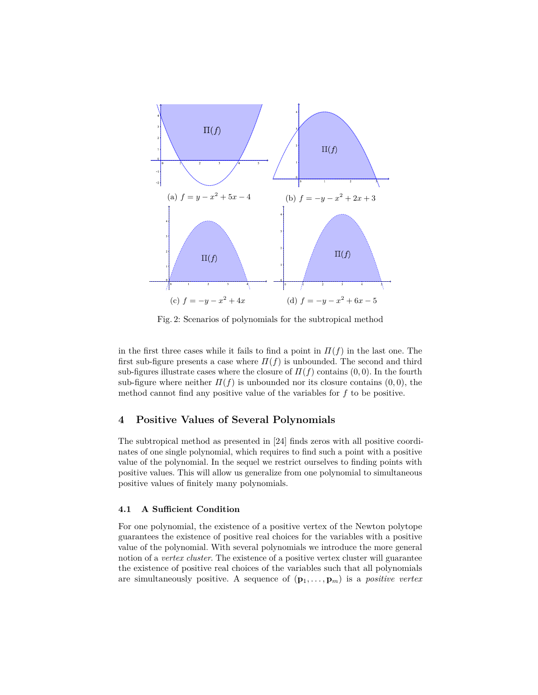

Fig. 2: Scenarios of polynomials for the subtropical method

in the first three cases while it fails to find a point in  $\Pi(f)$  in the last one. The first sub-figure presents a case where  $\Pi(f)$  is unbounded. The second and third sub-figures illustrate cases where the closure of  $\Pi(f)$  contains  $(0,0)$ . In the fourth sub-figure where neither  $\Pi(f)$  is unbounded nor its closure contains  $(0,0)$ , the method cannot find any positive value of the variables for *f* to be positive.

## **4 Positive Values of Several Polynomials**

The subtropical method as presented in [24] finds zeros with all positive coordinates of one single polynomial, which requires to find such a point with a positive value of the polynomial. In the sequel we restrict ourselves to finding points with positive values. This will allow us generalize from one polynomial to simultaneous positive values of finitely many polynomials.

### **4.1 A Sufficient Condition**

For one polynomial, the existence of a positive vertex of the Newton polytope guarantees the existence of positive real choices for the variables with a positive value of the polynomial. With several polynomials we introduce the more general notion of a *vertex cluster*. The existence of a positive vertex cluster will guarantee the existence of positive real choices of the variables such that all polynomials are simultaneously positive. A sequence of  $(\mathbf{p}_1, \ldots, \mathbf{p}_m)$  is a *positive vertex*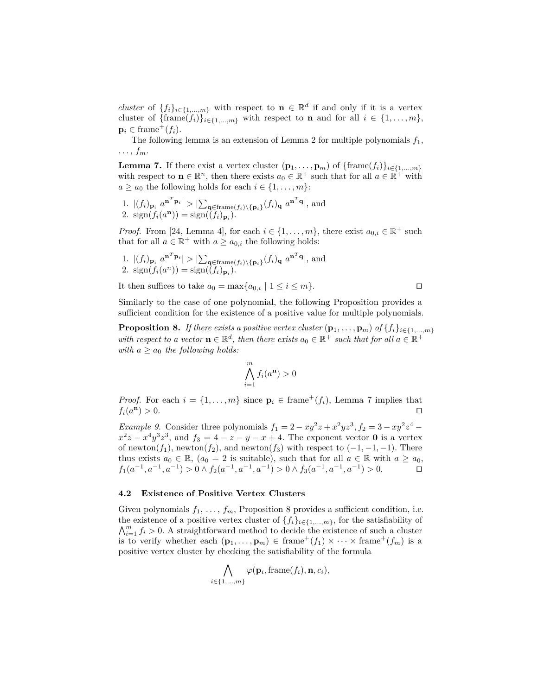*cluster* of  $\{f_i\}_{i\in\{1,\ldots,m\}}$  with respect to  $\mathbf{n} \in \mathbb{R}^d$  if and only if it is a vertex cluster of  ${\{\text{frame}(f_i)\}_{i \in \{1,\ldots,m\}}}$  with respect to **n** and for all  $i \in \{1,\ldots,m\}$ ,  $\mathbf{p}_i \in \text{frame}^+(f_i).$ 

The following lemma is an extension of Lemma 2 for multiple polynomials *f*1,  $\ldots, f_m.$ 

**Lemma 7.** If there exist a vertex cluster  $(\mathbf{p}_1, \ldots, \mathbf{p}_m)$  of  $\{\text{frame}(f_i)\}_{i \in \{1, \ldots, m\}}$ with respect to  $\mathbf{n} \in \mathbb{R}^n$ , then there exists  $a_0 \in \mathbb{R}^+$  such that for all  $a \in \mathbb{R}^+$  with  $a \ge a_0$  the following holds for each  $i \in \{1, \ldots, m\}$ :

1.  $|(f_i)_{\mathbf{p}_i} a^{\mathbf{n}^T \mathbf{p}_i}| > |\sum_{\mathbf{q} \in \text{frame}(f_i) \setminus {\{\mathbf{p}_i\}}}(f_i)_{\mathbf{q}} a^{\mathbf{n}^T \mathbf{q}}|$ , and 2.  $\text{sign}(f_i(a^n)) = \text{sign}((f_i)_{p_i}).$ 

*Proof.* From [24, Lemma 4], for each  $i \in \{1, ..., m\}$ , there exist  $a_{0,i} \in \mathbb{R}^+$  such that for all  $a \in \mathbb{R}^+$  with  $a \ge a_{0,i}$  the following holds:

1. 
$$
|(f_i)_{\mathbf{p}_i} a^{\mathbf{n}^T \mathbf{p}_i}| > |\sum_{\mathbf{q} \in \text{frame}(f_i) \setminus {\{\mathbf{p}_i\}}} (f_i)_{\mathbf{q}} a^{\mathbf{n}^T \mathbf{q}}|
$$
, and  
2.  $\text{sign}(f_i(a^n)) = \text{sign}((f_i)_{\mathbf{p}_i}).$ 

It then suffices to take  $a_0 = \max\{a_{0,i} \mid 1 \leq i \leq m\}$ .

Similarly to the case of one polynomial, the following Proposition provides a sufficient condition for the existence of a positive value for multiple polynomials.

**Proposition 8.** *If there exists a positive vertex cluster*  $(\mathbf{p}_1, \ldots, \mathbf{p}_m)$  *of*  $\{f_i\}_{i \in \{1, \ldots, m\}}$ *with respect to a vector*  $\mathbf{n} \in \mathbb{R}^d$ , then there exists  $a_0 \in \mathbb{R}^+$  such that for all  $a \in \mathbb{R}^+$ *with*  $a \ge a_0$  *the following holds:* 

$$
\bigwedge_{i=1}^{m} f_i(a^n) > 0
$$

*Proof.* For each  $i = \{1, \ldots, m\}$  since  $\mathbf{p}_i \in \text{frame}^+(f_i)$ , Lemma 7 implies that  $f_i(a^n) > 0.$  $\mathbf{n}) > 0.$ 

*Example 9.* Consider three polynomials  $f_1 = 2 - xy^2z + x^2yz^3$ ,  $f_2 = 3 - xy^2z^4$  $x^2z - x^4y^3z^3$ , and  $f_3 = 4 - z - y - x + 4$ . The exponent vector **0** is a vertex of newton( $f_1$ ), newton( $f_2$ ), and newton( $f_3$ ) with respect to (-1, -1, -1). There thus exists  $a_0 \in \mathbb{R}$ ,  $(a_0 = 2$  is suitable), such that for all  $a \in \mathbb{R}$  with  $a \ge a_0$ , *f*<sub>1</sub>(*a*<sup>-1</sup>, *a*<sup>-1</sup>) > 0 ∧ *f*<sub>2</sub>(*a*<sup>-1</sup>, *a*<sup>-1</sup>, *a*<sup>-1</sup>) > 0 ∧ *f*<sub>3</sub>(*a*<sup>-1</sup>, *a*<sup>-1</sup>, *a*<sup>-1</sup>) > 0. □

#### **4.2 Existence of Positive Vertex Clusters**

Given polynomials  $f_1, \ldots, f_m$ , Proposition 8 provides a sufficient condition, i.e. the existence of a positive vertex cluster of  $\{f_i\}_{i\in\{1,\ldots,m\}}$ , for the satisfiability of  $\bigwedge_{i=1}^{m} f_i > 0$ . A straightforward method to decide the existence of such a cluster is to verify whether each  $(\mathbf{p}_1, \ldots, \mathbf{p}_m) \in \text{frame}^+(f_1) \times \cdots \times \text{frame}^+(f_m)$  is a positive vertex cluster by checking the satisfiability of the formula

$$
\bigwedge_{i \in \{1,\ldots,m\}} \varphi(\mathbf{p}_i, \text{frame}(f_i), \mathbf{n}, c_i),
$$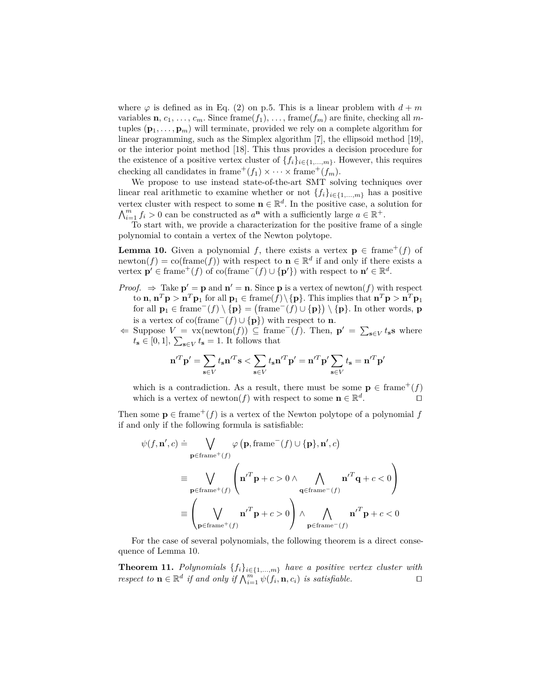where  $\varphi$  is defined as in Eq. (2) on p.5. This is a linear problem with  $d+m$ variables **n**,  $c_1, \ldots, c_m$ . Since frame( $f_1$ ), ..., frame( $f_m$ ) are finite, checking all *m*tuples  $(\mathbf{p}_1, \ldots, \mathbf{p}_m)$  will terminate, provided we rely on a complete algorithm for linear programming, such as the Simplex algorithm [7], the ellipsoid method [19], or the interior point method [18]. This thus provides a decision procedure for the existence of a positive vertex cluster of  $\{f_i\}_{i\in\{1,\ldots,m\}}$ . However, this requires checking all candidates in frame<sup>+</sup>( $f_1$ ) × · · · × frame<sup>+</sup>( $f_m$ ).

We propose to use instead state-of-the-art SMT solving techniques over linear real arithmetic to examine whether or not  $\{f_i\}_{i\in\{1,\ldots,m\}}$  has a positive vertex cluster with respect to some  $\mathbf{n} \in \mathbb{R}^d$ . In the positive case, a solution for  $\bigwedge_{i=1}^{m} f_i > 0$  can be constructed as  $a^n$  with a sufficiently large  $a \in \mathbb{R}^+$ .

To start with, we provide a characterization for the positive frame of a single polynomial to contain a vertex of the Newton polytope.

**Lemma 10.** Given a polynomial *f*, there exists a vertex  $\mathbf{p} \in \text{frame}^+(f)$  of newton(*f*) = co(frame(*f*)) with respect to **n**  $\in \mathbb{R}^d$  if and only if there exists a vertex  $\mathbf{p}' \in \text{frame}^+(f)$  of co(frame<sup> $\overline{(f)} \cup {\mathbf{p}'}$ ) with respect to  $\mathbf{n}' \in \mathbb{R}^d$ .</sup>

- *Proof.*  $\Rightarrow$  Take  $\mathbf{p}' = \mathbf{p}$  and  $\mathbf{n}' = \mathbf{n}$ . Since **p** is a vertex of newton(*f*) with respect to **n**,  $\mathbf{n}^T \mathbf{p} > \mathbf{n}^T \mathbf{p}_1$  for all  $\mathbf{p}_1 \in \text{frame}(f) \setminus \{\mathbf{p}\}.$  This implies that  $\mathbf{n}^T \mathbf{p} > \mathbf{n}^T \mathbf{p}_1$ for all  $\mathbf{p}_1 \in \text{frame}^-(f) \setminus {\mathbf{p}} = (\text{frame}^-(f) \cup {\mathbf{p}}) \setminus {\mathbf{p}}$ . In other words, **p** is a vertex of co(frame<sup> $-$ </sup>( $f$ ) ∪ {**p**}) with respect to **n**.
- $\Leftarrow$  Suppose  $V = \text{vx}(\text{newton}(f)) \subseteq \text{frame}^-(f)$ . Then,  $\mathbf{p}' = \sum_{\mathbf{s} \in V} t_{\mathbf{s}} \mathbf{s}$  where  $t_{\mathbf{s}} \in [0, 1], \sum_{\mathbf{s} \in V} t_{\mathbf{s}} = 1$ . It follows that

$$
\mathbf{n}'^T\mathbf{p}' = \sum_{\mathbf{s}\in V} t_\mathbf{s} \mathbf{n}'^T\mathbf{s} < \sum_{\mathbf{s}\in V} t_\mathbf{s} \mathbf{n}'^T\mathbf{p}' = \mathbf{n}'^T\mathbf{p}' \sum_{\mathbf{s}\in V} t_\mathbf{s} = \mathbf{n}'^T\mathbf{p}'
$$

which is a contradiction. As a result, there must be some  $\mathbf{p} \in \text{frame}^+(f)$ which is a vertex of newton( $f$ ) with respect to some  $\mathbf{n} \in \mathbb{R}^d$ .  $\Box$ 

Then some  $p \in \text{frame}^+(f)$  is a vertex of the Newton polytope of a polynomial f if and only if the following formula is satisfiable:

$$
\psi(f, \mathbf{n}', c) \doteq \bigvee_{\mathbf{p} \in \text{frame}^+(f)} \varphi(\mathbf{p}, \text{frame}^-(f) \cup \{\mathbf{p}\}, \mathbf{n}', c)
$$
\n
$$
\equiv \bigvee_{\mathbf{p} \in \text{frame}^+(f)} \left( \mathbf{n}'^T \mathbf{p} + c > 0 \wedge \bigwedge_{\mathbf{q} \in \text{frame}^-(f)} \mathbf{n}'^T \mathbf{q} + c < 0 \right)
$$
\n
$$
\equiv \left( \bigvee_{\mathbf{p} \in \text{frame}^+(f)} \mathbf{n}'^T \mathbf{p} + c > 0 \right) \wedge \bigwedge_{\mathbf{p} \in \text{frame}^-(f)} \mathbf{n}'^T \mathbf{p} + c < 0
$$

For the case of several polynomials, the following theorem is a direct consequence of Lemma 10.

**Theorem 11.** *Polynomials* {*fi*}*i*∈{1*,...,m*} *have a positive vertex cluster with respect to*  $\mathbf{n} \in \mathbb{R}^d$  *if and only if*  $\bigwedge_{i=1}^m \psi(f_i, \mathbf{n}, c_i)$  *is satisfiable.*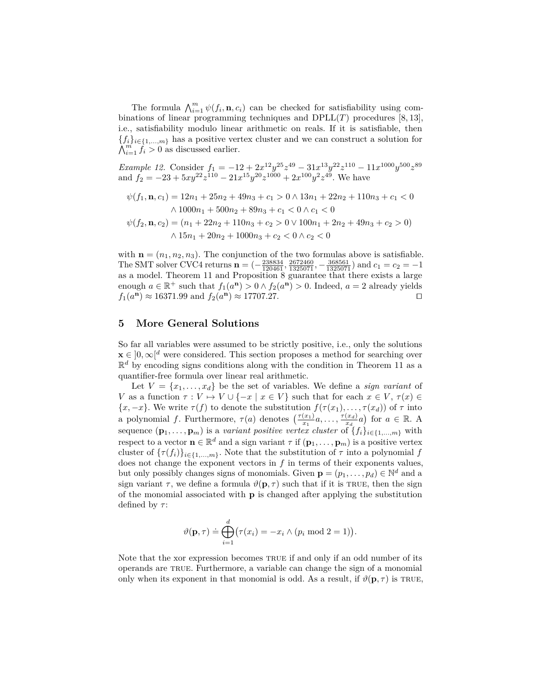The formula  $\bigwedge_{i=1}^{m} \psi(f_i, \mathbf{n}, c_i)$  can be checked for satisfiability using combinations of linear programming techniques and  $DPLL(T)$  procedures [8, 13], i.e., satisfiability modulo linear arithmetic on reals. If it is satisfiable, then  ${f_i}_{i \in \{1,...,m\}}$  has a positive vertex cluster and we can construct a solution for  $\bigwedge_{i=1}^{m} f_i > 0$  as discussed earlier.

*Example 12.* Consider  $f_1 = -12 + 2x^{12}y^{25}z^{49} - 31x^{13}y^{22}z^{110} - 11x^{1000}y^{500}z^{89}$ and  $f_2 = -23 + 5xy^{22}z^{110} - 21x^{15}y^{20}z^{1000} + 2x^{100}y^2z^{49}$ . We have

$$
\psi(f_1, \mathbf{n}, c_1) = 12n_1 + 25n_2 + 49n_3 + c_1 > 0 \land 13n_1 + 22n_2 + 110n_3 + c_1 < 0
$$
  

$$
\land 1000n_1 + 500n_2 + 89n_3 + c_1 < 0 \land c_1 < 0
$$
  

$$
\psi(f_2, \mathbf{n}, c_2) = (n_1 + 22n_2 + 110n_3 + c_2 > 0 \lor 100n_1 + 2n_2 + 49n_3 + c_2 > 0)
$$

 $∧ 15n_1 + 20n_2 + 1000n_3 + c_2 < 0 ∧ c_2 < 0$ 

with  $\mathbf{n} = (n_1, n_2, n_3)$ . The conjunction of the two formulas above is satisfiable. The SMT solver CVC4 returns  $\mathbf{n} = (-\frac{238834}{120461}, \frac{2672460}{1325071}, -\frac{368561}{1325071})$  and  $c_1 = c_2 = -1$ as a model. Theorem 11 and Proposition 8 guarantee that there exists a large enough  $a \in \mathbb{R}^+$  such that  $f_1(a^n) > 0 \land f_2(a^n) > 0$ . Indeed,  $a = 2$  already yields  $f_1(a^n) \approx 16371.99$  and  $f_2(a^n) \approx 17707.27$ .

## **5 More General Solutions**

So far all variables were assumed to be strictly positive, i.e., only the solutions  $\mathbf{x} \in [0, \infty]^d$  were considered. This section proposes a method for searching over  $\mathbb{R}^d$  by encoding signs conditions along with the condition in Theorem 11 as a quantifier-free formula over linear real arithmetic.

Let  $V = \{x_1, \ldots, x_d\}$  be the set of variables. We define a *sign variant* of *V* as a function  $\tau: V \mapsto V \cup \{-x \mid x \in V\}$  such that for each  $x \in V$ ,  $\tau(x) \in$  ${x, -x}$ . We write  $\tau(f)$  to denote the substitution  $f(\tau(x_1), \ldots, \tau(x_d))$  of  $\tau$  into a polynomial *f*. Furthermore,  $\tau(a)$  denotes  $\left(\frac{\tau(x_1)}{x_1}a, \ldots, \frac{\tau(x_d)}{x_d}\right)$  $\left(\frac{x_d}{x_d}a\right)$  for  $a \in \mathbb{R}$ . A sequence  $(\mathbf{p}_1, \ldots, \mathbf{p}_m)$  is a *variant positive vertex cluster* of  $\{f_i\}_{i \in \{1, \ldots, m\}}$  with respect to a vector  $\mathbf{n} \in \mathbb{R}^d$  and a sign variant  $\tau$  if  $(\mathbf{p}_1, \ldots, \mathbf{p}_m)$  is a positive vertex cluster of  $\{\tau(f_i)\}_{i\in\{1,\ldots,m\}}$ . Note that the substitution of  $\tau$  into a polynomial  $f$ does not change the exponent vectors in *f* in terms of their exponents values, but only possibly changes signs of monomials. Given  $\mathbf{p} = (p_1, \ldots, p_d) \in \mathbb{N}^d$  and a sign variant  $\tau$ , we define a formula  $\vartheta(\mathbf{p}, \tau)$  such that if it is TRUE, then the sign of the monomial associated with **p** is changed after applying the substitution defined by *τ* :

$$
\vartheta(\mathbf{p},\tau) \doteq \bigoplus_{i=1}^d \bigl(\tau(x_i) = -x_i \wedge (p_i \bmod 2 = 1)\bigr).
$$

Note that the xor expression becomes TRUE if and only if an odd number of its operands are true. Furthermore, a variable can change the sign of a monomial only when its exponent in that monomial is odd. As a result, if  $\vartheta(\mathbf{p}, \tau)$  is TRUE,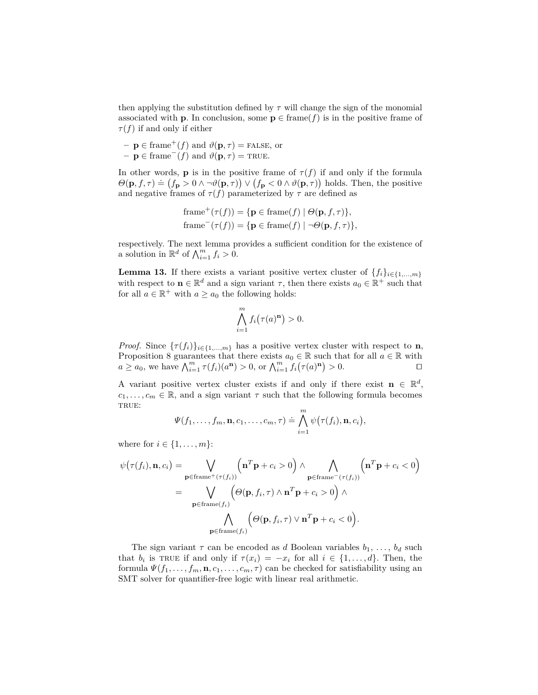then applying the substitution defined by  $\tau$  will change the sign of the monomial associated with **p**. In conclusion, some  $p \in \text{frame}(f)$  is in the positive frame of  $\tau(f)$  if and only if either

 $-\mathbf{p} \in \text{frame}^+(f)$  and  $\vartheta(\mathbf{p}, \tau) = \text{FALSE, or}$  $-\mathbf{p} \in \text{frame}^-(f)$  and  $\vartheta(\mathbf{p}, \tau) = \text{TRUE}.$ 

In other words, **p** is in the positive frame of  $\tau(f)$  if and only if the formula  $\Theta(\mathbf{p}, f, \tau) \doteq (f_{\mathbf{p}} > 0 \land \neg \vartheta(\mathbf{p}, \tau)) \lor (f_{\mathbf{p}} < 0 \land \vartheta(\mathbf{p}, \tau))$  holds. Then, the positive and negative frames of  $\tau(f)$  parameterized by  $\tau$  are defined as

frame<sup>+</sup>(
$$
\tau(f)
$$
) = {**p**  $\in$  frame $(f)$  |  $\Theta$ (**p**,  $f$ ,  $\tau$ )},  
frame<sup>-</sup>( $\tau(f)$ ) = {**p**  $\in$  frame $(f)$  |  $\neg \Theta$ (**p**,  $f$ ,  $\tau$ )},

respectively. The next lemma provides a sufficient condition for the existence of a solution in  $\mathbb{R}^d$  of  $\bigwedge_{i=1}^m f_i > 0$ .

**Lemma 13.** If there exists a variant positive vertex cluster of  $\{f_i\}_{i \in \{1,\ldots,m\}}$ with respect to  $\mathbf{n} \in \mathbb{R}^d$  and a sign variant  $\tau$ , then there exists  $a_0 \in \mathbb{R}^+$  such that for all  $a \in \mathbb{R}^+$  with  $a \ge a_0$  the following holds:

$$
\bigwedge_{i=1}^{m} f_i(\tau(a)^{\mathbf{n}}) > 0.
$$

*Proof.* Since  $\{\tau(f_i)\}_{i\in\{1,\ldots,m\}}$  has a positive vertex cluster with respect to **n**, Proposition 8 guarantees that there exists  $a_0 \in \mathbb{R}$  such that for all  $a \in \mathbb{R}$  with  $a \ge a_0$ , we have  $\bigwedge_{i=1}^m \tau(f_i)(a^n) > 0$ , or  $\bigwedge_{i=1}^m f_i(\tau(a)^n) > 0$ .

A variant positive vertex cluster exists if and only if there exist  $\mathbf{n} \in \mathbb{R}^d$ ,  $c_1, \ldots, c_m \in \mathbb{R}$ , and a sign variant  $\tau$  such that the following formula becomes TRUE:

$$
\Psi(f_1,\ldots,f_m,\mathbf{n},c_1,\ldots,c_m,\tau)\doteq\bigwedge_{i=1}^m\psi\big(\tau(f_i),\mathbf{n},c_i\big),
$$

where for  $i \in \{1, ..., m\}$ :

$$
\psi(\tau(f_i), \mathbf{n}, c_i) = \bigvee_{\mathbf{p} \in \text{frame}^+(\tau(f_i))} \left(\mathbf{n}^T \mathbf{p} + c_i > 0\right) \land \bigwedge_{\mathbf{p} \in \text{frame}^-(\tau(f_i))} \left(\mathbf{n}^T \mathbf{p} + c_i < 0\right)
$$

$$
= \bigvee_{\mathbf{p} \in \text{frame}(f_i)} \left(\Theta(\mathbf{p}, f_i, \tau) \land \mathbf{n}^T \mathbf{p} + c_i > 0\right) \land
$$

$$
\bigwedge_{\mathbf{p} \in \text{frame}(f_i)} \left(\Theta(\mathbf{p}, f_i, \tau) \lor \mathbf{n}^T \mathbf{p} + c_i < 0\right).
$$

The sign variant  $\tau$  can be encoded as *d* Boolean variables  $b_1, \ldots, b_d$  such that  $b_i$  is TRUE if and only if  $\tau(x_i) = -x_i$  for all  $i \in \{1, ..., d\}$ . Then, the formula  $\Psi(f_1, \ldots, f_m, \mathbf{n}, c_1, \ldots, c_m, \tau)$  can be checked for satisfiability using an SMT solver for quantifier-free logic with linear real arithmetic.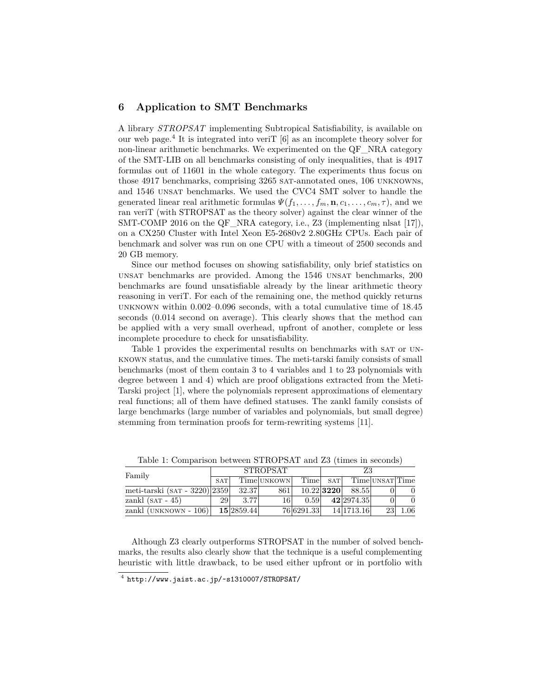## **6 Application to SMT Benchmarks**

A library *STROPSAT* implementing Subtropical Satisfiability, is available on our web page.<sup>4</sup> It is integrated into verit  $[6]$  as an incomplete theory solver for non-linear arithmetic benchmarks. We experimented on the QF\_NRA category of the SMT-LIB on all benchmarks consisting of only inequalities, that is 4917 formulas out of 11601 in the whole category. The experiments thus focus on those 4917 benchmarks, comprising 3265 sat-annotated ones, 106 unknowns, and 1546 unsat benchmarks. We used the CVC4 SMT solver to handle the generated linear real arithmetic formulas  $\Psi(f_1, \ldots, f_m, \mathbf{n}, c_1, \ldots, c_m, \tau)$ , and we ran veriT (with STROPSAT as the theory solver) against the clear winner of the SMT-COMP 2016 on the QF NRA category, i.e., Z3 (implementing nlsat  $[17]$ ), on a CX250 Cluster with Intel Xeon E5-2680v2 2.80GHz CPUs. Each pair of benchmark and solver was run on one CPU with a timeout of 2500 seconds and 20 GB memory.

Since our method focuses on showing satisfiability, only brief statistics on unsat benchmarks are provided. Among the 1546 unsat benchmarks, 200 benchmarks are found unsatisfiable already by the linear arithmetic theory reasoning in veriT. For each of the remaining one, the method quickly returns unknown within 0.002–0.096 seconds, with a total cumulative time of 18.45 seconds (0.014 second on average). This clearly shows that the method can be applied with a very small overhead, upfront of another, complete or less incomplete procedure to check for unsatisfiability.

Table 1 provides the experimental results on benchmarks with SAT or UNknown status, and the cumulative times. The meti-tarski family consists of small benchmarks (most of them contain 3 to 4 variables and 1 to 23 polynomials with degree between 1 and 4) which are proof obligations extracted from the Meti-Tarski project [1], where the polynomials represent approximations of elementary real functions; all of them have defined statuses. The zankl family consists of large benchmarks (large number of variables and polynomials, but small degree) stemming from termination proofs for term-rewriting systems [11].

| Family                            | <b>STROPSAT</b> |            |             |            | Z3           |              |                 |     |
|-----------------------------------|-----------------|------------|-------------|------------|--------------|--------------|-----------------|-----|
|                                   | <b>SAT</b>      |            | Time UNKOWN | Time       | <b>SAT</b>   |              | Time UNSAT Time |     |
| meti-tarski (sar - 3220) $ 2359 $ |                 | 32.37      | 861         |            | $10.22$ 3220 | 88.55        |                 |     |
| zankl $(SAT - 45)$                | 29              | 3.77       | 161         | 0.59       |              | 42   2974.35 |                 |     |
| zankl $(UNKNOWN - 106)$           |                 | 15 2859.44 |             | 76 6291.33 |              | 14 1713.16   | 23              | .06 |

Table 1: Comparison between STROPSAT and Z3 (times in seconds)

Although Z3 clearly outperforms STROPSAT in the number of solved benchmarks, the results also clearly show that the technique is a useful complementing heuristic with little drawback, to be used either upfront or in portfolio with

 $^4$  http://www.jaist.ac.jp/~s1310007/STROPSAT/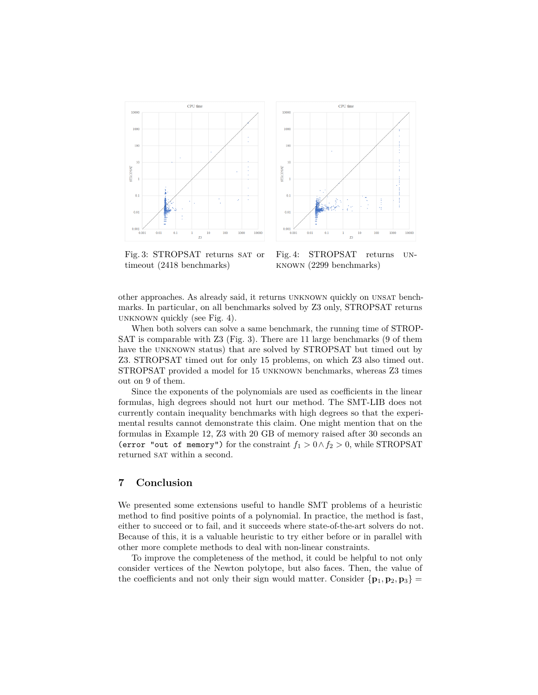



Fig. 3: STROPSAT returns SAT or timeout (2418 benchmarks)

Fig. 4: STROPSAT returns unknown (2299 benchmarks)

other approaches. As already said, it returns unknown quickly on unsat benchmarks. In particular, on all benchmarks solved by Z3 only, STROPSAT returns unknown quickly (see Fig. 4).

When both solvers can solve a same benchmark, the running time of STROP-SAT is comparable with Z3 (Fig. 3). There are 11 large benchmarks (9 of them have the UNKNOWN status) that are solved by STROPSAT but timed out by Z3. STROPSAT timed out for only 15 problems, on which Z3 also timed out. STROPSAT provided a model for 15 unknown benchmarks, whereas Z3 times out on 9 of them.

Since the exponents of the polynomials are used as coefficients in the linear formulas, high degrees should not hurt our method. The SMT-LIB does not currently contain inequality benchmarks with high degrees so that the experimental results cannot demonstrate this claim. One might mention that on the formulas in Example 12, Z3 with 20 GB of memory raised after 30 seconds an (error "out of memory") for the constraint  $f_1 > 0 \land f_2 > 0$ , while STROPSAT returned SAT within a second.

## **7 Conclusion**

We presented some extensions useful to handle SMT problems of a heuristic method to find positive points of a polynomial. In practice, the method is fast, either to succeed or to fail, and it succeeds where state-of-the-art solvers do not. Because of this, it is a valuable heuristic to try either before or in parallel with other more complete methods to deal with non-linear constraints.

To improve the completeness of the method, it could be helpful to not only consider vertices of the Newton polytope, but also faces. Then, the value of the coefficients and not only their sign would matter. Consider  ${\bf p}_1, {\bf p}_2, {\bf p}_3$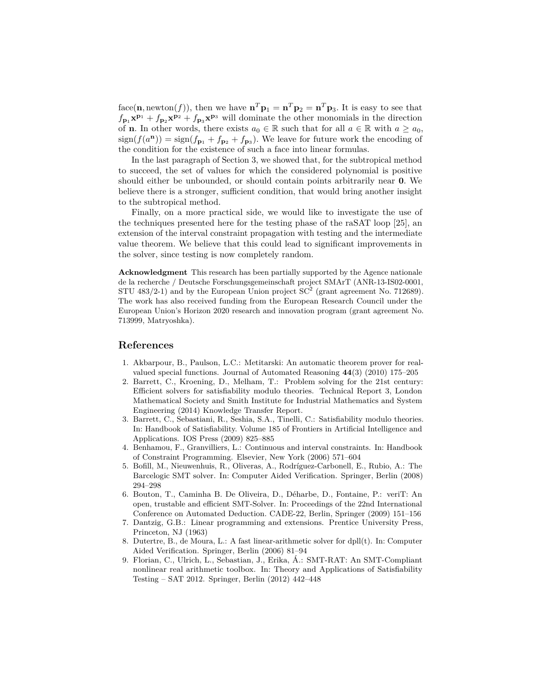face(**n**, newton(*f*)), then we have  $\mathbf{n}^T \mathbf{p}_1 = \mathbf{n}^T \mathbf{p}_2 = \mathbf{n}^T \mathbf{p}_3$ . It is easy to see that  $f_{\mathbf{p}_1} \mathbf{x}^{\mathbf{p}_1} + f_{\mathbf{p}_2} \mathbf{x}^{\mathbf{p}_2} + f_{\mathbf{p}_3} \mathbf{x}^{\mathbf{p}_3}$  will dominate the other monomials in the direction of **n**. In other words, there exists  $a_0 \in \mathbb{R}$  such that for all  $a \in \mathbb{R}$  with  $a \ge a_0$ ,  $sign(f(a^{\mathbf{n}})) = sign(f_{\mathbf{p}_1} + f_{\mathbf{p}_2} + f_{\mathbf{p}_3})$ . We leave for future work the encoding of the condition for the existence of such a face into linear formulas.

In the last paragraph of Section 3, we showed that, for the subtropical method to succeed, the set of values for which the considered polynomial is positive should either be unbounded, or should contain points arbitrarily near **0**. We believe there is a stronger, sufficient condition, that would bring another insight to the subtropical method.

Finally, on a more practical side, we would like to investigate the use of the techniques presented here for the testing phase of the raSAT loop [25], an extension of the interval constraint propagation with testing and the intermediate value theorem. We believe that this could lead to significant improvements in the solver, since testing is now completely random.

**Acknowledgment** This research has been partially supported by the Agence nationale de la recherche / Deutsche Forschungsgemeinschaft project SMArT (ANR-13-IS02-0001, STU 483/2-1) and by the European Union project  $SC^2$  (grant agreement No. 712689). The work has also received funding from the European Research Council under the European Union's Horizon 2020 research and innovation program (grant agreement No. 713999, Matryoshka).

### **References**

- 1. Akbarpour, B., Paulson, L.C.: Metitarski: An automatic theorem prover for realvalued special functions. Journal of Automated Reasoning **44**(3) (2010) 175–205
- 2. Barrett, C., Kroening, D., Melham, T.: Problem solving for the 21st century: Efficient solvers for satisfiability modulo theories. Technical Report 3, London Mathematical Society and Smith Institute for Industrial Mathematics and System Engineering (2014) Knowledge Transfer Report.
- 3. Barrett, C., Sebastiani, R., Seshia, S.A., Tinelli, C.: Satisfiability modulo theories. In: Handbook of Satisfiability. Volume 185 of Frontiers in Artificial Intelligence and Applications. IOS Press (2009) 825–885
- 4. Benhamou, F., Granvilliers, L.: Continuous and interval constraints. In: Handbook of Constraint Programming. Elsevier, New York (2006) 571–604
- 5. Bofill, M., Nieuwenhuis, R., Oliveras, A., Rodríguez-Carbonell, E., Rubio, A.: The Barcelogic SMT solver. In: Computer Aided Verification. Springer, Berlin (2008) 294–298
- 6. Bouton, T., Caminha B. De Oliveira, D., Déharbe, D., Fontaine, P.: veriT: An open, trustable and efficient SMT-Solver. In: Proceedings of the 22nd International Conference on Automated Deduction. CADE-22, Berlin, Springer (2009) 151–156
- 7. Dantzig, G.B.: Linear programming and extensions. Prentice University Press, Princeton, NJ (1963)
- 8. Dutertre, B., de Moura, L.: A fast linear-arithmetic solver for dpll(t). In: Computer Aided Verification. Springer, Berlin (2006) 81–94
- 9. Florian, C., Ulrich, L., Sebastian, J., Erika, Á.: SMT-RAT: An SMT-Compliant nonlinear real arithmetic toolbox. In: Theory and Applications of Satisfiability Testing – SAT 2012. Springer, Berlin (2012) 442–448